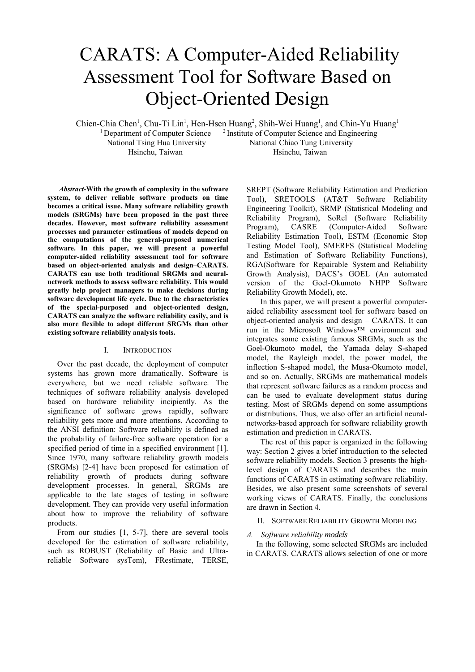# CARATS: A Computer-Aided Reliability Assessment Tool for Software Based on Object-Oriented Design

Chien-Chia Chen<sup>1</sup>, Chu-Ti Lin<sup>1</sup>, Hen-Hsen Huang<sup>2</sup>, Shih-Wei Huang<sup>1</sup>, and Chin-Yu Huang<sup>1</sup>

<sup>1</sup> Department of Computer Science  $\frac{1}{2}$  Institute of Computer Science and Engineering National Tsing Hua University Hsinchu, Taiwan

 National Chiao Tung University Hsinchu, Taiwan

*Abstract-***With the growth of complexity in the software system, to deliver reliable software products on time becomes a critical issue. Many software reliability growth models (SRGMs) have been proposed in the past three decades. However, most software reliability assessment processes and parameter estimations of models depend on the computations of the general-purposed numerical software. In this paper, we will present a powerful computer-aided reliability assessment tool for software based on object-oriented analysis and design–CARATS. CARATS can use both traditional SRGMs and neuralnetwork methods to assess software reliability. This would greatly help project managers to make decisions during software development life cycle. Due to the characteristics of the special-purposed and object-oriented design, CARATS can analyze the software reliability easily, and is also more flexible to adopt different SRGMs than other existing software reliability analysis tools.**

### I. INTRODUCTION

Over the past decade, the deployment of computer systems has grown more dramatically. Software is everywhere, but we need reliable software. The techniques of software reliability analysis developed based on hardware reliability incipiently. As the significance of software grows rapidly, software reliability gets more and more attentions. According to the ANSI definition: Software reliability is defined as the probability of failure-free software operation for a specified period of time in a specified environment [1]. Since 1970, many software reliability growth models (SRGMs) [2-4] have been proposed for estimation of reliability growth of products during software development processes. In general, SRGMs are applicable to the late stages of testing in software development. They can provide very useful information about how to improve the reliability of software products.

From our studies [1, 5-7], there are several tools developed for the estimation of software reliability, such as ROBUST (Reliability of Basic and Ultrareliable Software sysTem), FRestimate, TERSE,

SREPT (Software Reliability Estimation and Prediction Tool), SRETOOLS (AT&T Software Reliability Engineering Toolkit), SRMP (Statistical Modeling and Reliability Program), SoRel (Software Reliability Program), CASRE (Computer-Aided Software Reliability Estimation Tool), ESTM (Economic Stop Testing Model Tool), SMERFS (Statistical Modeling and Estimation of Software Reliability Functions), RGA(Software for Repairable System and Reliability Growth Analysis), DACS's GOEL (An automated version of the Goel-Okumoto NHPP Software Reliability Growth Model), etc.

In this paper, we will present a powerful computeraided reliability assessment tool for software based on object-oriented analysis and design – CARATS. It can run in the Microsoft Windows™ environment and integrates some existing famous SRGMs, such as the Goel-Okumoto model, the Yamada delay S-shaped model, the Rayleigh model, the power model, the inflection S-shaped model, the Musa-Okumoto model, and so on. Actually, SRGMs are mathematical models that represent software failures as a random process and can be used to evaluate development status during testing. Most of SRGMs depend on some assumptions or distributions. Thus, we also offer an artificial neuralnetworks-based approach for software reliability growth estimation and prediction in CARATS.

The rest of this paper is organized in the following way: Section 2 gives a brief introduction to the selected software reliability models. Section 3 presents the highlevel design of CARATS and describes the main functions of CARATS in estimating software reliability. Besides, we also present some screenshots of several working views of CARATS. Finally, the conclusions are drawn in Section 4.

## II. SOFTWARE RELIABILITY GROWTH MODELING

### *A. Software reliability models*

In the following, some selected SRGMs are included in CARATS. CARATS allows selection of one or more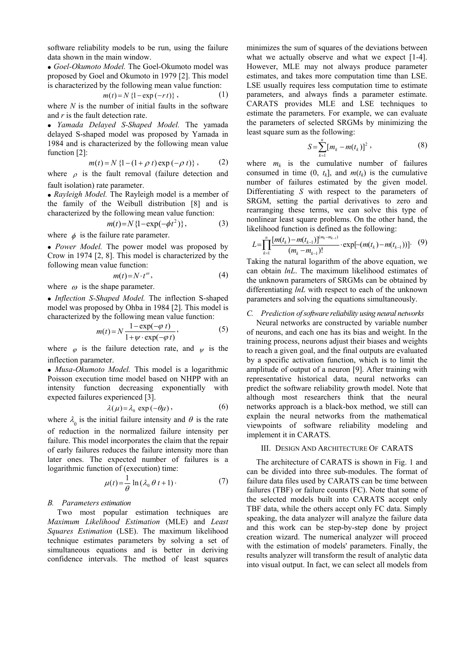software reliability models to be run, using the failure data shown in the main window.

 $\bullet$  *Goel-Okumoto Model*. The Goel-Okumoto model was proposed by Goel and Okumoto in 1979 [2]. This model is characterized by the following mean value function:

$$
m(t) = N \{1 - \exp(-rt)\},
$$
 (1)

where *N* is the number of initial faults in the software and *r* is the fault detection rate.

<sup>z</sup> *Yamada Delayed S-Shaped Model.* The yamada delayed S-shaped model was proposed by Yamada in 1984 and is characterized by the following mean value function [2]:

$$
m(t) = N \{1 - (1 + \rho t) \exp(-\rho t)\},
$$
 (2)

where  $\rho$  is the fault removal (failure detection and fault isolation) rate parameter.

• *Rayleigh Model*. The Rayleigh model is a member of the family of the Weibull distribution [8] and is characterized by the following mean value function:

$$
m(t) = N \{1 - \exp(-\phi t^2)\},
$$
 (3)

where  $\phi$  is the failure rate parameter.

• *Power Model*. The power model was proposed by Crow in 1974 [2, 8]. This model is characterized by the following mean value function:

$$
m(t) = N \cdot t^{\omega}, \tag{4}
$$

where  $\omega$  is the shape parameter.

• *Inflection S-Shaped Model*. The inflection S-shaped model was proposed by Ohba in 1984 [2]. This model is characterized by the following mean value function:

$$
m(t) = N \frac{1 - \exp(-\varphi t)}{1 + \psi \cdot \exp(-\varphi t)},
$$
\n(5)

where  $\varphi$  is the failure detection rate, and  $\psi$  is the inflection parameter.

• *Musa-Okumoto Model*. This model is a logarithmic Poisson execution time model based on NHPP with an intensity function decreasing exponentially with expected failures experienced [3].

$$
\lambda(\mu) = \lambda_0 \exp(-\theta \mu) \,, \tag{6}
$$

where  $\lambda_0$  is the initial failure intensity and  $\theta$  is the rate of reduction in the normalized failure intensity per failure. This model incorporates the claim that the repair of early failures reduces the failure intensity more than later ones. The expected number of failures is a logarithmic function of (execution) time:

$$
\mu(t) = \frac{1}{\theta} \ln(\lambda_0 \theta t + 1) \tag{7}
$$

## *B. Parameters estimation*

Two most popular estimation techniques are *Maximum Likelihood Estimation* (MLE) and *Least Squares Estimation* (LSE). The maximum likelihood technique estimates parameters by solving a set of simultaneous equations and is better in deriving confidence intervals. The method of least squares

minimizes the sum of squares of the deviations between what we actually observe and what we expect [1-4]. However, MLE may not always produce parameter estimates, and takes more computation time than LSE. LSE usually requires less computation time to estimate parameters, and always finds a parameter estimate. CARATS provides MLE and LSE techniques to estimate the parameters. For example, we can evaluate the parameters of selected SRGMs by minimizing the least square sum as the following:

$$
S = \sum_{k=1}^{n} [m_k - m(t_k)]^2, \qquad (8)
$$

where  $m_k$  is the cumulative number of failures consumed in time  $(0, t_k]$ , and  $m(t_k)$  is the cumulative number of failures estimated by the given model. Differentiating *S* with respect to the parameters of SRGM, setting the partial derivatives to zero and rearranging these terms, we can solve this type of nonlinear least square problems. On the other hand, the likelihood function is defined as the following:

$$
L = \prod_{k=1}^{n} \frac{[m(t_k) - m(t_{k-1})]^{(m_k - m_{k-1})}}{(m_k - m_{k-1})!} \cdot \exp[-(m(t_k) - m(t_{k-1}))] \cdot (9)
$$

Taking the natural logarithm of the above equation, we can obtain *lnL*. The maximum likelihood estimates of the unknown parameters of SRGMs can be obtained by differentiating *lnL* with respect to each of the unknown parameters and solving the equations simultaneously.

## *C. Prediction of software reliability using neural networks*

Neural networks are constructed by variable number of neurons, and each one has its bias and weight. In the training process, neurons adjust their biases and weights to reach a given goal, and the final outputs are evaluated by a specific activation function, which is to limit the amplitude of output of a neuron [9]. After training with representative historical data, neural networks can predict the software reliability growth model. Note that although most researchers think that the neural networks approach is a black-box method, we still can explain the neural networks from the mathematical viewpoints of software reliability modeling and implement it in CARATS.

## III. DESIGN AND ARCHITECTURE OF CARATS

The architecture of CARATS is shown in Fig. 1 and can be divided into three sub-modules. The format of failure data files used by CARATS can be time between failures (TBF) or failure counts (FC). Note that some of the selected models built into CARATS accept only TBF data, while the others accept only FC data. Simply speaking, the data analyzer will analyze the failure data and this work can be step-by-step done by project creation wizard. The numerical analyzer will proceed with the estimation of models' parameters. Finally, the results analyzer will transform the result of analytic data into visual output. In fact, we can select all models from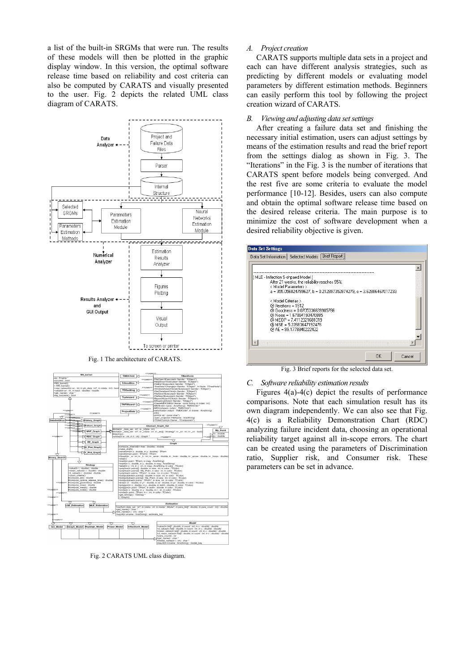a list of the built-in SRGMs that were run. The results of these models will then be plotted in the graphic display window. In this version, the optimal software release time based on reliability and cost criteria can also be computed by CARATS and visually presented to the user. Fig. 2 depicts the related UML class diagram of CARATS.



Fig. 1 The architecture of CARATS



Fig. 2 CARATS UML class diagram.

## *A. Project creation*

CARATS supports multiple data sets in a project and each can have different analysis strategies, such as predicting by different models or evaluating model parameters by different estimation methods. Beginners can easily perform this tool by following the project creation wizard of CARATS.

## *B. Viewing and adjusting data set settings*

After creating a failure data set and finishing the necessary initial estimation, users can adjust settings by means of the estimation results and read the brief report from the settings dialog as shown in Fig. 3. The "Iterations" in the Fig. 3 is the number of iterations that CARATS spent before models being converged. And the rest five are some criteria to evaluate the model performance [10-12]. Besides, users can also compute and obtain the optimal software release time based on the desired release criteria. The main purpose is to minimize the cost of software development when a desired reliability objective is given.



Fig. 3 Brief reports for the selected data set.

#### *C. Software reliability estimation results*

Figures 4(a)-4(c) depict the results of performance comparisons. Note that each simulation result has its own diagram independently. We can also see that Fig. 4(c) is a Reliability Demonstration Chart (RDC) analyzing failure incident data, choosing an operational reliability target against all in-scope errors. The chart can be created using the parameters of Discrimination ratio, Supplier risk, and Consumer risk. These parameters can be set in advance.